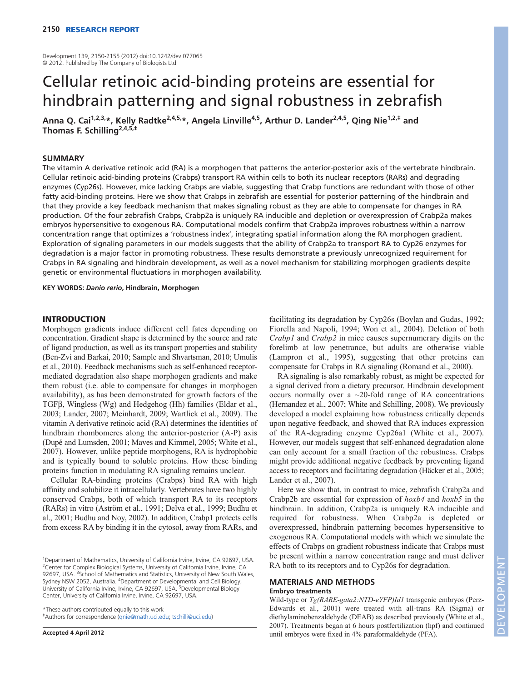Development 139, 2150-2155 (2012) doi:10.1242/dev.077065 © 2012. Published by The Company of Biologists Ltd

# Cellular retinoic acid-binding proteins are essential for hindbrain patterning and signal robustness in zebrafish

**Anna Q. Cai1,2,3,\*, Kelly Radtke2,4,5,\*, Angela Linville4,5, Arthur D. Lander2,4,5, Qing Nie1,2,‡ and Thomas F. Schilling2,4,5,‡**

# **SUMMARY**

The vitamin A derivative retinoic acid (RA) is a morphogen that patterns the anterior-posterior axis of the vertebrate hindbrain. Cellular retinoic acid-binding proteins (Crabps) transport RA within cells to both its nuclear receptors (RARs) and degrading enzymes (Cyp26s). However, mice lacking Crabps are viable, suggesting that Crabp functions are redundant with those of other fatty acid-binding proteins. Here we show that Crabps in zebrafish are essential for posterior patterning of the hindbrain and that they provide a key feedback mechanism that makes signaling robust as they are able to compensate for changes in RA production. Of the four zebrafish Crabps, Crabp2a is uniquely RA inducible and depletion or overexpression of Crabp2a makes embryos hypersensitive to exogenous RA. Computational models confirm that Crabp2a improves robustness within a narrow concentration range that optimizes a 'robustness index', integrating spatial information along the RA morphogen gradient. Exploration of signaling parameters in our models suggests that the ability of Crabp2a to transport RA to Cyp26 enzymes for degradation is a major factor in promoting robustness. These results demonstrate a previously unrecognized requirement for Crabps in RA signaling and hindbrain development, as well as a novel mechanism for stabilizing morphogen gradients despite genetic or environmental fluctuations in morphogen availability.

**KEY WORDS:** *Danio rerio***, Hindbrain, Morphogen**

# **INTRODUCTION**

Morphogen gradients induce different cell fates depending on concentration. Gradient shape is determined by the source and rate of ligand production, as well as its transport properties and stability (Ben-Zvi and Barkai, 2010; Sample and Shvartsman, 2010; Umulis et al., 2010). Feedback mechanisms such as self-enhanced receptormediated degradation also shape morphogen gradients and make them robust (i.e. able to compensate for changes in morphogen availability), as has been demonstrated for growth factors of the TGFβ, Wingless (Wg) and Hedgehog (Hh) families (Eldar et al., 2003; Lander, 2007; Meinhardt, 2009; Wartlick et al., 2009). The vitamin A derivative retinoic acid (RA) determines the identities of hindbrain rhombomeres along the anterior-posterior (A-P) axis (Dupé and Lumsden, 2001; Maves and Kimmel, 2005; White et al., 2007). However, unlike peptide morphogens, RA is hydrophobic and is typically bound to soluble proteins. How these binding proteins function in modulating RA signaling remains unclear.

Cellular RA-binding proteins (Crabps) bind RA with high affinity and solubilize it intracellularly. Vertebrates have two highly conserved Crabps, both of which transport RA to its receptors (RARs) in vitro (Aström et al., 1991; Delva et al., 1999; Budhu et al., 2001; Budhu and Noy, 2002). In addition, Crabp1 protects cells from excess RA by binding it in the cytosol, away from RARs, and

\*These authors contributed equally to this work ‡Authors for correspondence (qnie@math.uci.edu; tschilli@uci.edu)

**Accepted 4 April 2012**

facilitating its degradation by Cyp26s (Boylan and Gudas, 1992; Fiorella and Napoli, 1994; Won et al., 2004). Deletion of both *Crabp1* and *Crabp2* in mice causes supernumerary digits on the forelimb at low penetrance, but adults are otherwise viable (Lampron et al., 1995), suggesting that other proteins can compensate for Crabps in RA signaling (Romand et al., 2000).

RA signaling is also remarkably robust, as might be expected for a signal derived from a dietary precursor. Hindbrain development occurs normally over a  $\sim$ 20-fold range of RA concentrations (Hernandez et al., 2007; White and Schilling, 2008). We previously developed a model explaining how robustness critically depends upon negative feedback, and showed that RA induces expression of the RA-degrading enzyme Cyp26a1 (White et al., 2007). However, our models suggest that self-enhanced degradation alone can only account for a small fraction of the robustness. Crabps might provide additional negative feedback by preventing ligand access to receptors and facilitating degradation (Häcker et al., 2005; Lander et al., 2007).

Here we show that, in contrast to mice, zebrafish Crabp2a and Crabp2b are essential for expression of *hoxb4* and *hoxb5* in the hindbrain. In addition, Crabp2a is uniquely RA inducible and required for robustness. When Crabp2a is depleted or overexpressed, hindbrain patterning becomes hypersensitive to exogenous RA. Computational models with which we simulate the effects of Crabps on gradient robustness indicate that Crabps must be present within a narrow concentration range and must deliver RA both to its receptors and to Cyp26s for degradation.

### **MATERIALS AND METHODS Embryo treatments**

Wild-type or *Tg(RARE-gata2:NTD-eYFP)Id1* transgenic embryos (Perz-Edwards et al., 2001) were treated with all-trans RA (Sigma) or diethylaminobenzaldehyde (DEAB) as described previously (White et al., 2007). Treatments began at 6 hours postfertilization (hpf) and continued until embryos were fixed in 4% paraformaldehyde (PFA).

<sup>&</sup>lt;sup>1</sup>Department of Mathematics, University of California Irvine, Irvine, CA 92697, USA. <sup>2</sup>Center for Complex Biological Systems, University of California Irvine, Irvine, CA 92697, USA. <sup>3</sup>School of Mathematics and Statistics, University of New South Wales, Sydney NSW 2052, Australia. 4Department of Developmental and Cell Biology, University of California Irvine, Irvine, CA 92697, USA. <sup>5</sup>Developmental Biology Center, University of California Irvine, Irvine, CA 92697, USA.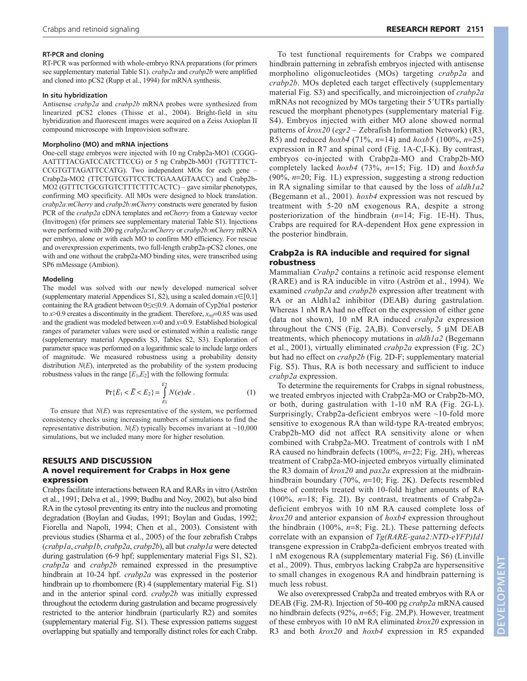### **RT-PCR and cloning**

RT-PCR was performed with whole-embryo RNA preparations (for primers see supplementary material Table S1). *crabp2a* and *crabp2b* were amplified and cloned into pCS2 (Rupp et al., 1994) for mRNA synthesis.

## **In situ hybridization**

Antisense *crabp2a* and *crabp2b* mRNA probes were synthesized from linearized pCS2 clones (Thisse et al., 2004). Bright-field in situ hybridization and fluorescent images were acquired on a Zeiss Axioplan II compound microscope with Improvision software.

#### **Morpholino (MO) and mRNA injections**

One-cell stage embryos were injected with 10 ng Crabp2a-MO1 (CGGG - AATTTTACGATCCATCTTCCG) or 5 ng Crabp2b-MO1 (TGTTTTCT-CCGTGTTAGATTCCATG). Two independent MOs for each gene – Crabp2a-MO2 (TTCTGTCGTTCCTCTGAAAGTAACC) and Crabp2b-MO2 (GTTTCTGCGTGTCTTTCTTTCACTC) – gave similar phenotypes, confirming MO specificity. All MOs were designed to block translation. *crabp2a:mCherry* and *crabp2b:mCherry* constructs were generated by fusion PCR of the *crabp2a* cDNA templates and *mCherry* from a Gateway vector (Invitrogen) (for primers see supplementary material Table S1). Injections were performed with 200 pg *crabp2a:mCherry* or *crabp2b:mCherry* mRNA per embryo, alone or with each MO to confirm MO efficiency. For rescue and overexpression experiments, two full-length crabp2a-pCS2 clones, one with and one without the crabp2a-MO binding sites, were transcribed using SP6 mMessage (Ambion).

# **Modeling**

The model was solved with our newly developed numerical solver (supplementary material Appendices S1, S2), using a scaled domain  $x \in [0,1]$ containing the RA gradient between 0≤*x*≤0.9. A domain of Cyp26a1 posterior to  $x > 0.9$  creates a discontinuity in the gradient. Therefore,  $x_{ref} = 0.85$  was used and the gradient was modeled between  $x=0$  and  $x=0.9$ . Established biological ranges of parameter values were used or estimated within a realistic range (supplementary material Appendix S3, Tables S2, S3). Exploration of parameter space was performed on a logarithmic scale to include large orders of magnitude. We measured robustness using a probability density distribution *N*(*E*), interpreted as the probability of the system producing robustness values in the range  $[E_1, E_2]$  with the following formula:

$$
\Pr\{E_1 < \overline{E} < E_2\} = \int_{E_1}^{E_2} N(e) \, de \tag{1}
$$

To ensure that *N*(*E*) was representative of the system, we performed consistency checks using increasing numbers of simulations to find the representative distribution.  $N(E)$  typically becomes invariant at  $\sim$ 10,000 simulations, but we included many more for higher resolution.

# **RESULTS AND DISCUSSION A novel requirement for Crabps in Hox gene expression**

Crabps facilitate interactions between RA and RARs in vitro (Aström et al., 1991; Delva et al., 1999; Budhu and Noy, 2002), but also bind RA in the cytosol preventing its entry into the nucleus and promoting degradation (Boylan and Gudas, 1991; Boylan and Gudas, 1992; Fiorella and Napoli, 1994; Chen et al., 2003). Consistent with previous studies (Sharma et al., 2005) of the four zebrafish Crabps (*crabp1a*, *crabp1b*, *crabp2a*, *crabp2b*), all but *crabp1a* were detected during gastrulation (6-9 hpf; supplementary material Figs S1, S2). *crabp2a* and *crabp2b* remained expressed in the presumptive hindbrain at 10-24 hpf. *crabp2a* was expressed in the posterior hindbrain up to rhombomere (R) 4 (supplementary material Fig. S1) and in the anterior spinal cord. *crabp2b* was initially expressed throughout the ectoderm during gastrulation and became progressively restricted to the anterior hindbrain (particularly R2) and somites (supplementary material Fig. S1). These expression patterns suggest overlapping but spatially and temporally distinct roles for each Crabp.

To test functional requirements for Crabps we compared hindbrain patterning in zebrafish embryos injected with antisense morpholino oligonucleotides (MOs) targeting *crabp2a* and *crabp2b*. MOs depleted each target effectively (supplementary material Fig. S3) and specifically, and microinjection of *crabp2a* mRNAs not recognized by MOs targeting their 5'UTRs partially rescued the morphant phenotypes (supplementary material Fig. S4). Embryos injected with either MO alone showed normal patterns of *krox20* (*egr2* – Zebrafish Information Network) (R3, R5) and reduced *hoxb4* (71%, *n*14) and *hoxb5* (100%, *n*25) expression in R7 and spinal cord (Fig. 1A-C,I-K). By contrast, embryos co-injected with Crabp2a-MO and Crabp2b-MO completely lacked *hoxb4* (73%, *n*=15; Fig. 1D) and *hoxb5a*  $(90\%, n=20; Fig. 1L)$  expression, suggesting a strong reduction in RA signaling similar to that caused by the loss of *aldh1a2* (Begemann et al., 2001). *hoxb4* expression was not rescued by treatment with 5-20 nM exogenous RA, despite a strong posteriorization of the hindbrain  $(n=14;$  Fig. 1E-H). Thus, Crabps are required for RA-dependent Hox gene expression in the posterior hindbrain.

# **Crabp2a is RA inducible and required for signal robustness**

Mammalian *Crabp2* contains a retinoic acid response element (RARE) and is RA inducible in vitro (Aström et al., 1994). We examined *crabp2a* and *crabp2b* expression after treatment with RA or an Aldh1a2 inhibitor (DEAB) during gastrulation. Whereas 1 nM RA had no effect on the expression of either gene (data not shown), 10 nM RA induced *crabp2a* expression throughout the CNS (Fig.  $2A,B$ ). Conversely, 5  $\mu$ M DEAB treatments, which phenocopy mutations in *aldh1a2* (Begemann et al., 2001), virtually eliminated *crabp2a* expression (Fig. 2C) but had no effect on *crabp2b* (Fig. 2D-F; supplementary material Fig. S5). Thus, RA is both necessary and sufficient to induce *crabp2a* expression.

To determine the requirements for Crabps in signal robustness, we treated embryos injected with Crabp2a-MO or Crabp2b-MO, or both, during gastrulation with 1-10 nM RA (Fig. 2G-L). Surprisingly, Crabp2a-deficient embryos were  $\sim$ 10-fold more sensitive to exogenous RA than wild-type RA-treated embryos; Crabp2b-MO did not affect RA sensitivity alone or when combined with Crabp2a-MO. Treatment of controls with 1 nM RA caused no hindbrain defects (100%, *n*=22; Fig. 2H), whereas treatment of Crabp2a-MO-injected embryos virtually eliminated the R3 domain of *krox20* and *pax2a* expression at the midbrainhindbrain boundary (70%, *n*=10; Fig. 2K). Defects resembled those of controls treated with 10-fold higher amounts of RA  $(100\%, n=18; Fig. 2I)$ . By contrast, treatments of Crabp2adeficient embryos with 10 nM RA caused complete loss of *krox20* and anterior expansion of *hoxb4* expression throughout the hindbrain  $(100\%, n=8; Fig. 2L)$ . These patterning defects correlate with an expansion of *Tg(RARE-gata2:NTD-eYFP)Id1* transgene expression in Crabp2a-deficient embryos treated with 1 nM exogenous RA (supplementary material Fig. S6) (Linville et al., 2009). Thus, embryos lacking Crabp2a are hypersensitive to small changes in exogenous RA and hindbrain patterning is much less robust.

We also overexpressed Crabp2a and treated embryos with RA or DEAB (Fig. 2M-R). Injection of 50-400 pg *crabp2a* mRNA caused no hindbrain defects (92%, *n*=65; Fig. 2M,P). However, treatment of these embryos with 10 nM RA eliminated *krox20* expression in R3 and both *krox20* and *hoxb4* expression in R5 expanded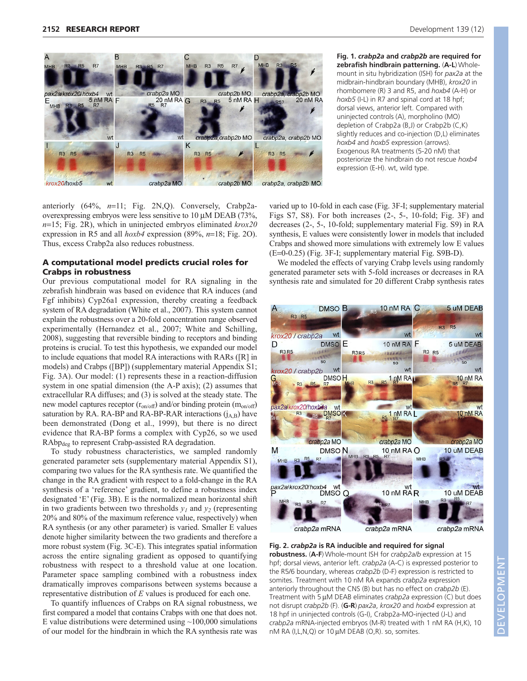

anteriorly  $(64\%, n=11; Fig. 2N,Q)$ . Conversely, Crabp2aoverexpressing embryos were less sensitive to  $10 \mu M$  DEAB (73%, *n*=15; Fig. 2R), which in uninjected embryos eliminated *krox20* expression in R5 and all  $h(x)$  expression (89%,  $n=18$ ; Fig. 2O). Thus, excess Crabp2a also reduces robustness.

# **A computational model predicts crucial roles for Crabps in robustness**

Our previous computational model for RA signaling in the zebrafish hindbrain was based on evidence that RA induces (and Fgf inhibits) Cyp26a1 expression, thereby creating a feedback system of RA degradation (White et al., 2007). This system cannot explain the robustness over a 20-fold concentration range observed experimentally (Hernandez et al., 2007; White and Schilling, 2008), suggesting that reversible binding to receptors and binding proteins is crucial. To test this hypothesis, we expanded our model to include equations that model RA interactions with RARs ([R] in models) and Crabps ([BP]) (supplementary material Appendix S1; Fig. 3A). Our model: (1) represents these in a reaction-diffusion system in one spatial dimension (the A-P axis); (2) assumes that extracellular RA diffuses; and (3) is solved at the steady state. The new model captures receptor  $(r_{on/off})$  and/or binding protein  $(m_{on/off})$ saturation by RA. RA-BP and RA-BP-RAR interactions  $(i_{AB})$  have been demonstrated (Dong et al., 1999), but there is no direct evidence that RA-BP forms a complex with Cyp26, so we used RAbp<sub>deg</sub> to represent Crabp-assisted RA degradation.

To study robustness characteristics, we sampled randomly generated parameter sets (supplementary material Appendix S1), comparing two values for the RA synthesis rate. We quantified the change in the RA gradient with respect to a fold-change in the RA synthesis of a 'reference' gradient, to define a robustness index designated 'E' (Fig. 3B). E is the normalized mean horizontal shift in two gradients between two thresholds  $y_1$  and  $y_2$  (representing 20% and 80% of the maximum reference value, respectively) when RA synthesis (or any other parameter) is varied. Smaller E values denote higher similarity between the two gradients and therefore a more robust system (Fig. 3C-E). This integrates spatial information across the entire signaling gradient as opposed to quantifying robustness with respect to a threshold value at one location. Parameter space sampling combined with a robustness index dramatically improves comparisons between systems because a representative distribution of *E* values is produced for each one.

To quantify influences of Crabps on RA signal robustness, we first compared a model that contains Crabps with one that does not. E value distributions were determined using  $\sim$ 100,000 simulations of our model for the hindbrain in which the RA synthesis rate was **Development 139 (12)** 

**Fig. 1.** *crabp2a* **and** *crabp2b* **are required for zebrafish hindbrain patterning.** (**A-L**) Wholemount in situ hybridization (ISH) for *pax2a* at the midbrain-hindbrain boundary (MHB), *krox20* in rhombomere (R) 3 and R5, and *hoxb4* (A-H) or *hoxb5* (I-L) in R7 and spinal cord at 18 hpf; dorsal views, anterior left. Compared with uninjected controls (A), morpholino (MO) depletion of Crabp2a (B,J) or Crabp2b (C,K) slightly reduces and co-injection (D,L) eliminates *hoxb4* and *hoxb5* expression (arrows). Exogenous RA treatments (5-20 nM) that posteriorize the hindbrain do not rescue *hoxb4* expression (E-H). wt, wild type.

varied up to 10-fold in each case (Fig. 3F-I; supplementary material Figs S7, S8). For both increases (2-, 5-, 10-fold; Fig. 3F) and decreases (2-, 5-, 10-fold; supplementary material Fig. S9) in RA synthesis, E values were consistently lower in models that included Crabps and showed more simulations with extremely low E values  $(E=0-0.25)$  (Fig. 3F-I; supplementary material Fig. S9B-D).

We modeled the effects of varying Crabp levels using randomly generated parameter sets with 5-fold increases or decreases in RA synthesis rate and simulated for 20 different Crabp synthesis rates



**Fig. 2.** *crabp2a* **is RA inducible and required for signal robustness.** (**A-F**) Whole-mount ISH for *crabp2a/b* expression at 15 hpf; dorsal views, anterior left. *crabp2a* (A-C) is expressed posterior to the R5/6 boundary, whereas *crabp2b* (D-F) expression is restricted to somites. Treatment with 10 nM RA expands *crabp2a* expression anteriorly throughout the CNS (B) but has no effect on *crabp2b* (E). Treatment with 5 µM DEAB eliminates *crabp2a* expression (C) but does not disrupt *crabp2b* (F). (**G-R**) *pax2a*, *krox20* and *hoxb4* expression at 18 hpf in uninjected controls (G-I), Crabp2a-MO-injected (J-L) and *crabp2a* mRNA-injected embryos (M-R) treated with 1 nM RA (H,K), 10 nM RA (I,L,N,Q) or  $10 \mu$ M DEAB (O,R). so, somites.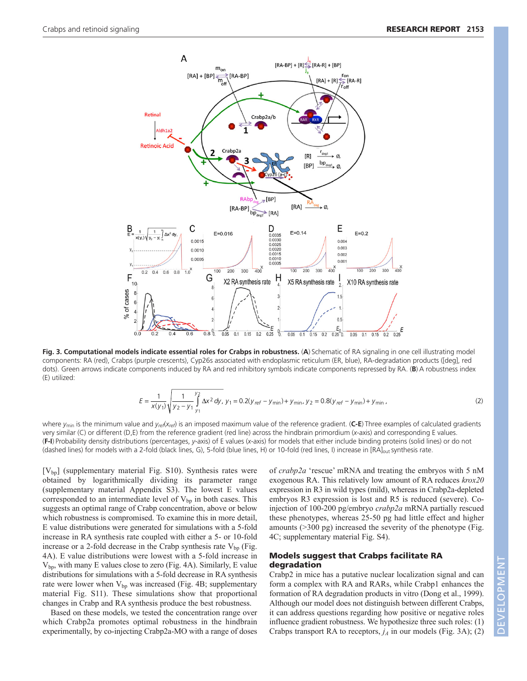

**Fig. 3. Computational models indicate essential roles for Crabps in robustness. (A) Schematic of RA signaling in one cell illustrating model** components: RA (red), Crabps (purple crescents), Cyp26s associated with endoplasmic reticulum (ER, blue), RA-degradation products ([deg], red dots). Green arrows indicate components induced by RA and red inhibitory symbols indicate components repressed by RA. (**B**) A robustness index (E) utilized:

$$
E = \frac{1}{x(y_1)} \sqrt{\frac{1}{y_2 - y_1} \int_{y_1}^{y_2} \Delta x^2 dy}, y_1 = 0.2(y_{ref} - y_{min}) + y_{min}, y_2 = 0.8(y_{ref} - y_{min}) + y_{min},
$$
\n(2)

where *y*min is the minimum value and *yref*(*xref*) is an imposed maximum value of the reference gradient. (**C-E**) Three examples of calculated gradients very similar (C) or different (D,E) from the reference gradient (red line) across the hindbrain primordium (*x*-axis) and corresponding E values. (**F-I**) Probability density distributions (percentages, *y*-axis) of E values (*x*-axis) for models that either include binding proteins (solid lines) or do not (dashed lines) for models with a 2-fold (black lines, G), 5-fold (blue lines, H) or 10-fold (red lines, I) increase in [RA]<sub>out</sub> synthesis rate.

 $[V_{bp}]$  (supplementary material Fig. S10). Synthesis rates were obtained by logarithmically dividing its parameter range (supplementary material Appendix S3). The lowest E values corresponded to an intermediate level of  $V_{bp}$  in both cases. This suggests an optimal range of Crabp concentration, above or below which robustness is compromised. To examine this in more detail, E value distributions were generated for simulations with a 5-fold increase in RA synthesis rate coupled with either a 5- or 10-fold increase or a 2-fold decrease in the Crabp synthesis rate  $V_{\text{bp}}$  (Fig. 4A). E value distributions were lowest with a 5-fold increase in  $V_{\text{bp}}$ , with many E values close to zero (Fig. 4A). Similarly, E value distributions for simulations with a 5-fold decrease in RA synthesis rate were lower when  $V_{bp}$  was increased (Fig. 4B; supplementary material Fig. S11). These simulations show that proportional changes in Crabp and RA synthesis produce the best robustness.

Based on these models, we tested the concentration range over which Crabp2a promotes optimal robustness in the hindbrain experimentally, by co-injecting Crabp2a-MO with a range of doses

of *crabp2a* 'rescue' mRNA and treating the embryos with 5 nM exogenous RA. This relatively low amount of RA reduces *krox20* expression in R3 in wild types (mild), whereas in Crabp2a-depleted embryos R3 expression is lost and R5 is reduced (severe). Coinjection of 100-200 pg/embryo *crabp2a* mRNA partially rescued these phenotypes, whereas 25-50 pg had little effect and higher amounts (>300 pg) increased the severity of the phenotype (Fig. 4C; supplementary material Fig. S4).

# **Models suggest that Crabps facilitate RA degradation**

Crabp2 in mice has a putative nuclear localization signal and can form a complex with RA and RARs, while Crabp1 enhances the formation of RA degradation products in vitro (Dong et al., 1999). Although our model does not distinguish between different Crabps, it can address questions regarding how positive or negative roles influence gradient robustness. We hypothesize three such roles: (1) Crabps transport RA to receptors,  $j_A$  in our models (Fig. 3A); (2)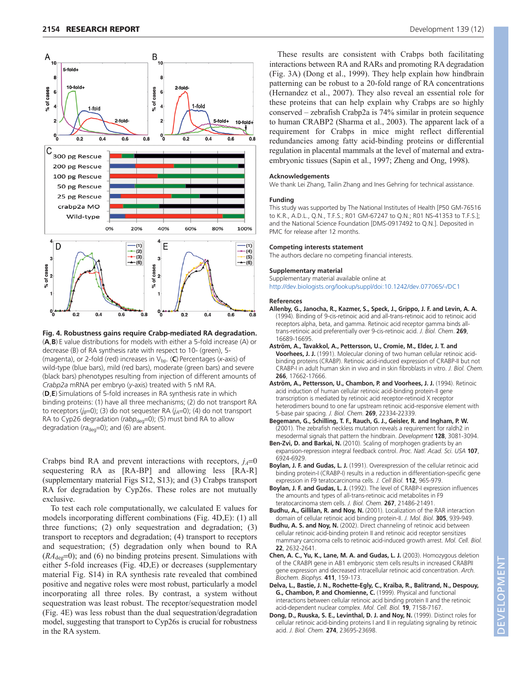

**Fig. 4. Robustness gains require Crabp-mediated RA degradation.** (**A**,**B**) E value distributions for models with either a 5-fold increase (A) or decrease (B) of RA synthesis rate with respect to 10- (green), 5- (magenta), or 2-fold (red) increases in V<sub>bp</sub>. (C) Percentages (*x*-axis) of wild-type (blue bars), mild (red bars), moderate (green bars) and severe (black bars) phenotypes resulting from injection of different amounts of *Crabp2a* mRNA per embryo (*y*-axis) treated with 5 nM RA. (**D**,**E**) Simulations of 5-fold increases in RA synthesis rate in which binding proteins: (1) have all three mechanisms; (2) do not transport RA to receptors  $(j_B=0)$ ; (3) do not sequester RA  $(j_A=0)$ ; (4) do not transport RA to Cyp26 degradation (rabp<sub>deg</sub>=0); (5) must bind RA to allow degradation ( $ra_{\text{dea}}=0$ ); and (6) are absent.

Crabps bind RA and prevent interactions with receptors,  $j_A=0$ sequestering RA as [RA-BP] and allowing less [RA-R] (supplementary material Figs S12, S13); and (3) Crabps transport RA for degradation by Cyp26s. These roles are not mutually exclusive.

To test each role computationally, we calculated E values for models incorporating different combinations (Fig. 4D,E): (1) all three functions; (2) only sequestration and degradation; (3) transport to receptors and degradation; (4) transport to receptors and sequestration; (5) degradation only when bound to RA  $(RA_{\text{deg}}=0)$ ; and (6) no binding proteins present. Simulations with either 5-fold increases (Fig. 4D,E) or decreases (supplementary material Fig. S14) in RA synthesis rate revealed that combined positive and negative roles were most robust, particularly a model incorporating all three roles. By contrast, a system without sequestration was least robust. The receptor/sequestration model (Fig. 4E) was less robust than the dual sequestration/degradation model, suggesting that transport to Cyp26s is crucial for robustness in the RA system.

These results are consistent with Crabps both facilitating interactions between RA and RARs and promoting RA degradation (Fig. 3A) (Dong et al., 1999). They help explain how hindbrain patterning can be robust to a 20-fold range of RA concentrations (Hernandez et al., 2007). They also reveal an essential role for these proteins that can help explain why Crabps are so highly conserved – zebrafish Crabp2a is 74% similar in protein sequence to human CRABP2 (Sharma et al., 2003). The apparent lack of a requirement for Crabps in mice might reflect differential redundancies among fatty acid-binding proteins or differential regulation in placental mammals at the level of maternal and extraembryonic tissues (Sapin et al., 1997; Zheng and Ong, 1998).

#### **Acknowledgements**

We thank Lei Zhang, Tailin Zhang and Ines Gehring for technical assistance.

#### **Funding**

This study was supported by The National Institutes of Health [P50 GM-76516 to K.R., A.D.L., Q.N., T.F.S.; R01 GM-67247 to Q.N.; R01 NS-41353 to T.F.S.]; and the National Science Foundation [DMS-0917492 to Q.N.]. Deposited in PMC for release after 12 months.

#### **Competing interests statement**

The authors declare no competing financial interests.

#### **Supplementary material**

Supplementary material available online at http://dev.biologists.org/lookup/suppl/doi:10.1242/dev.077065/-/DC1

### **References**

- **Allenby, G., Janocha, R., Kazmer, S., Speck, J., Grippo, J. F. and Levin, A. A.** (1994). Binding of 9-cis-retinoic acid and all-trans-retinoic acid to retinoic acid receptors alpha, beta, and gamma. Retinoic acid receptor gamma binds alltrans-retinoic acid preferentially over 9-cis-retinoic acid. *J. Biol. Chem*. **269**, 16689-16695.
- **Aström, A., Tavakkol, A., Pettersson, U., Cromie, M., Elder, J. T. and Voorhees, J. J.** (1991). Molecular cloning of two human cellular retinoic acidbinding proteins (CRABP). Retinoic acid-induced expression of CRABP-II but not CRABP-I in adult human skin in vivo and in skin fibroblasts in vitro. *J. Biol. Chem.* **266**, 17662-17666.
- **Aström, A., Pettersson, U., Chambon, P. and Voorhees, J. J.** (1994). Retinoic acid induction of human cellular retinoic acid-binding protein-II gene transcription is mediated by retinoic acid receptor-retinoid X receptor heterodimers bound to one far upstream retinoic acid-responsive element with 5-base pair spacing. *J. Biol. Chem.* **269**, 22334-22339.
- **Begemann, G., Schilling, T. F., Rauch, G. J., Geisler, R. and Ingham, P. W.** (2001). The zebrafish neckless mutation reveals a requirement for raldh2 in mesodermal signals that pattern the hindbrain. *Development* **128**, 3081-3094.
- **Ben-Zvi, D. and Barkai, N.** (2010). Scaling of morphogen gradients by an expansion-repression integral feedback control. *Proc. Natl. Acad. Sci. USA* **107**, 6924-6929.
- **Boylan, J. F. and Gudas, L. J.** (1991). Overexpression of the cellular retinoic acid binding protein-I (CRABP-I) results in a reduction in differentiation-specific gene expression in F9 teratocarcinoma cells. *J. Cell Biol.* **112**, 965-979.
- **Boylan, J. F. and Gudas, L. J.** (1992). The level of CRABP-I expression influences the amounts and types of all-trans-retinoic acid metabolites in F9 teratocarcinoma stem cells. *J. Biol. Chem.* **267**, 21486-21491.
- **Budhu, A., Gillilan, R. and Noy, N.** (2001). Localization of the RAR interaction domain of cellular retinoic acid binding protein-II. *J. Mol. Biol.* **305**, 939-949.
- **Budhu, A. S. and Noy, N.** (2002). Direct channeling of retinoic acid between cellular retinoic acid-binding protein II and retinoic acid receptor sensitizes mammary carcinoma cells to retinoic acid-induced growth arrest. *Mol. Cell. Biol.* **22**, 2632-2641.
- **Chen, A. C., Yu, K., Lane, M. A. and Gudas, L. J.** (2003). Homozygous deletion of the CRABPI gene in AB1 embryonic stem cells results in increased CRABPII gene expression and decreased intracellular retinoic acid concentration. *Arch. Biochem. Biophys.* **411**, 159-173.
- **Delva, L., Bastie, J. N., Rochette-Egly, C., Kraïba, R., Balitrand, N., Despouy, G., Chambon, P. and Chomienne, C.** (1999). Physical and functional interactions between cellular retinoic acid binding protein II and the retinoic acid-dependent nuclear complex. *Mol. Cell. Biol.* **19**, 7158-7167.
- **Dong, D., Ruuska, S. E., Levinthal, D. J. and Noy, N.** (1999). Distinct roles for cellular retinoic acid-binding proteins I and II in regulating signaling by retinoic acid. *J. Biol. Chem.* **274**, 23695-23698.